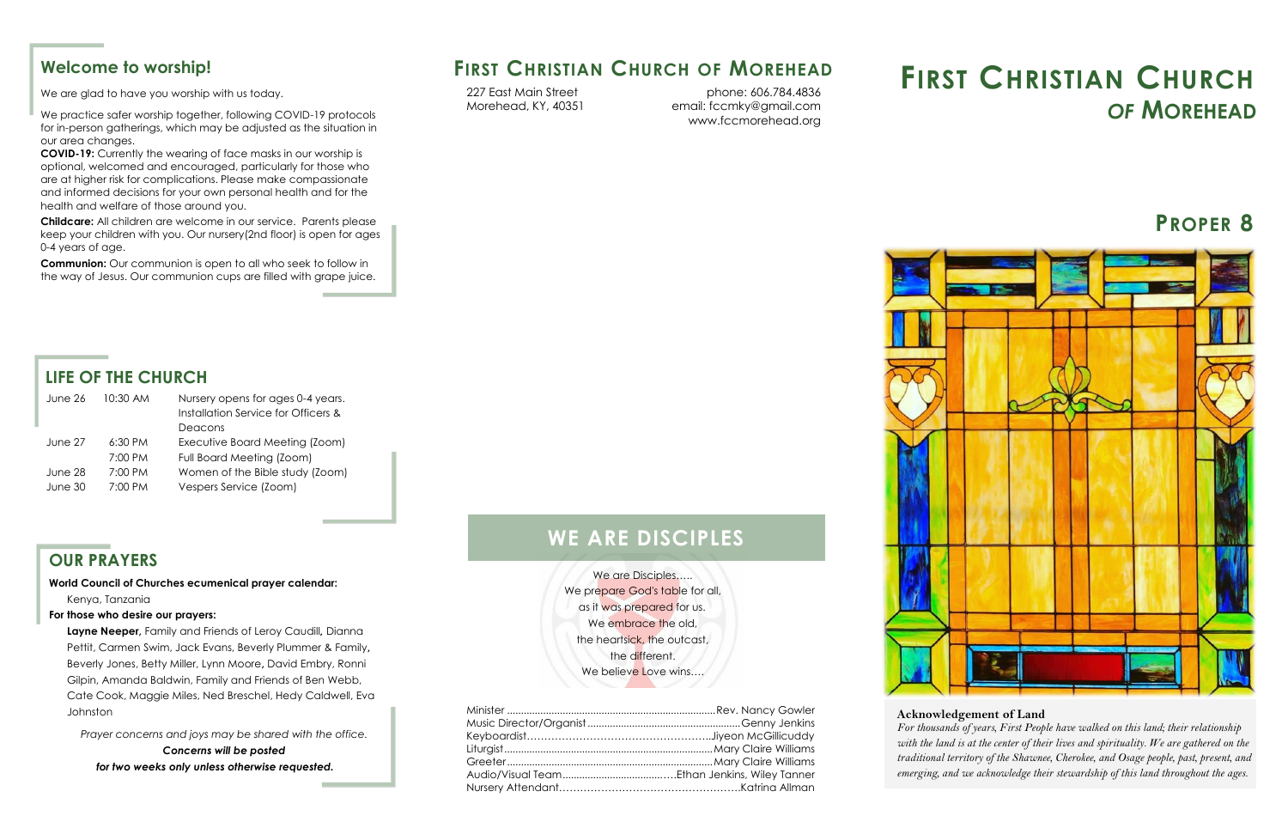

We are Disciples….. We prepare God's table for all, as it was prepared for us. We embrace the old, the heartsick, the outcast, the different. We believe Love wins....

## **FIRST CHRISTIAN CHURCH OF MOREHEAD**

#### **LIFE OF THE CHURCH**

| June 26 | 10:30 AM          | Nursery opens for ages 0-4 years.<br>Installation Service for Officers & |
|---------|-------------------|--------------------------------------------------------------------------|
|         |                   | Deacons                                                                  |
|         |                   |                                                                          |
| June 27 | $6:30$ PM         | Executive Board Meeting (Zoom)                                           |
|         | 7:00 PM           | Full Board Meeting (Zoom)                                                |
| June 28 | 7:00 PM           | Women of the Bible study (Zoom)                                          |
| June 30 | $7:00 \text{ PM}$ | Vespers Service (Zoom)                                                   |
|         |                   |                                                                          |

## **WE ARE DISCIPLES**

phone: 606.784.4836 email: fccmky@gmail.com www.fccmorehead.org

227 East Main Street Morehead, KY, 40351

# **FIRST CHRISTIAN CHURCH** *OF* **MOREHEAD**

#### **OUR PRAYERS**

**World Council of Churches ecumenical prayer calendar:**  [Kenya, Tanzania](https://www.oikoumene.org/resources/prayer-cycle/kenya-tanzania)

#### **For those who desire our prayers:**

**Layne Neeper,** Family and Friends of Leroy Caudill*,* Dianna Pettit, Carmen Swim, Jack Evans, Beverly Plummer & Family**,**  Beverly Jones, Betty Miller, Lynn Moore**,** David Embry, Ronni Gilpin, Amanda Baldwin, Family and Friends of Ben Webb, Cate Cook, Maggie Miles, Ned Breschel, Hedy Caldwell, Eva Johnston

*Prayer concerns and joys may be shared with the office. Concerns will be posted for two weeks only unless otherwise requested.* 

#### **Welcome to worship!**

We are glad to have you worship with us today.

We practice safer worship together, following COVID-19 protocols for in-person gatherings, which may be adjusted as the situation in our area changes.

**COVID-19:** Currently the wearing of face masks in our worship is optional, welcomed and encouraged, particularly for those who are at higher risk for complications. Please make compassionate and informed decisions for your own personal health and for the health and welfare of those around you.

**Childcare:** All children are welcome in our service. Parents please keep your children with you. Our nursery(2nd floor) is open for ages 0-4 years of age.

**Communion:** Our communion is open to all who seek to follow in the way of Jesus. Our communion cups are filled with grape juice.

## **PROPER 8**



#### **Acknowledgement of Land**

 *with the land is at the center of their lives and spirituality. We are gathered on the For thousands of years, First People have walked on this land; their relationship traditional territory of the Shawnee, Cherokee, and Osage people, past, present, and emerging, and we acknowledge their stewardship of this land throughout the ages*.